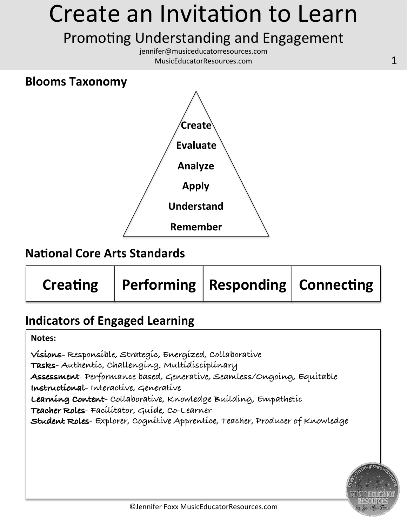### Promoting Understanding and Engagement

jennifer@musiceducatorresources.com MusicEducatorResources.com **1** 

#### **Blooms Taxonomy**



#### **National Core Arts Standards**

| Performing   Responding   Connecting |
|--------------------------------------|
|                                      |

### **Indicators of Engaged Learning**

**Notes:** 

**Visions- Responsible, Strategic, Energized, Collaborative Tasks- Authentic, Challenging, Multidisciplinary Assessment- Performance based, Generative, Seamless/Ongoing, Equitable Instructional- Interactive, Generative Learning Content- Collaborative, Knowledge Building, Empathetic Teacher Roles- Facilitator, Guide, Co-Learner Student Roles- Explorer, Cognitive Apprentice, Teacher, Producer of Knowledge** 

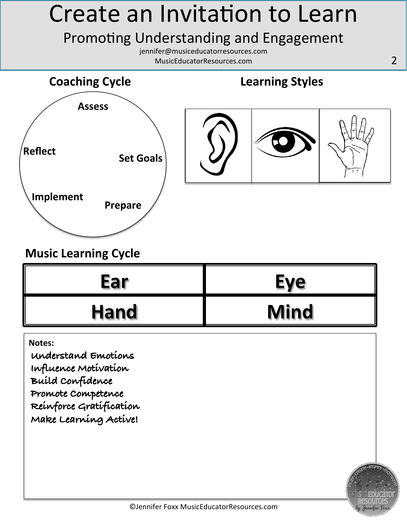### Promoting Understanding and Engagement

jennifer@musiceducatorresources.com MusicEducatorResources.com 2 



### **Music Learning Cycle**

| Ear         | Eve         |
|-------------|-------------|
| <b>Hand</b> | <b>Mind</b> |

**Notes:** 

**Understand Emotions Influence Motivation Build Confidence Promote Competence Reinforce Gratification Make Learning Active!**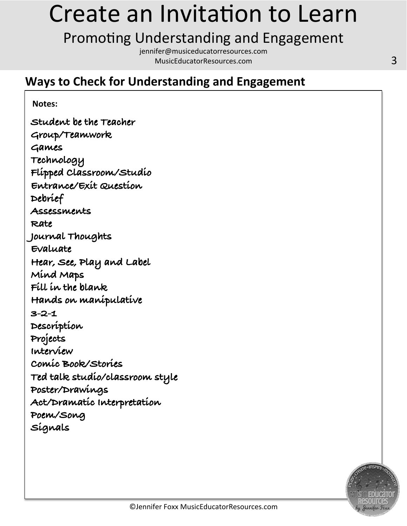### Promoting Understanding and Engagement

jennifer@musiceducatorresources.com MusicEducatorResources.com 3

### **Ways to Check for Understanding and Engagement**

**Notes: Student be the Teacher Group/Teamwork Games Technology Flipped Classroom/Studio Entrance/Exit Question Debrief Assessments Rate Journal Thoughts Evaluate Hear, See, Play and Label Mind Maps Fill in the blank Hands on manipulative 3-2-1 Description Projects Interview** 

**Comic Book/Stories** 

**Poster/Drawings** 

**Poem/Song** 

**Signals** 

**Ted talk studio/classroom style** 

**Act/Dramatic Interpretation**